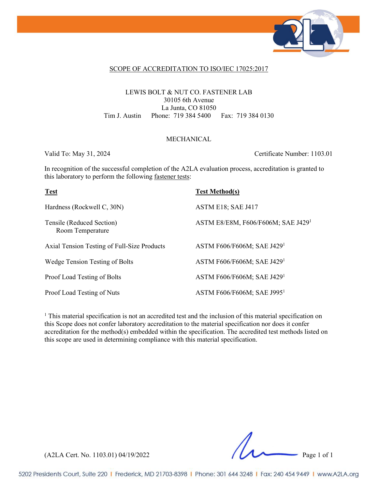

#### SCOPE OF ACCREDITATION TO ISO/IEC 17025:2017

### LEWIS BOLT & NUT CO. FASTENER LAB 30105 6th Avenue La Junta, CO 81050 Tim J. Austin Phone: 719 384 5400 Fax: 719 384 0130

### MECHANICAL

Valid To: May 31, 2024 Certificate Number: 1103.01

In recognition of the successful completion of the A2LA evaluation process, accreditation is granted to this laboratory to perform the following fastener tests:

| <b>Test</b>                                   | <b>Test Method(s)</b>                  |
|-----------------------------------------------|----------------------------------------|
| Hardness (Rockwell C, 30N)                    | ASTM E18; SAE J417                     |
| Tensile (Reduced Section)<br>Room Temperature | ASTM E8/E8M, F606/F606M; SAE J4291     |
| Axial Tension Testing of Full-Size Products   | ASTM F606/F606M; SAE J429 <sup>1</sup> |
| Wedge Tension Testing of Bolts                | ASTM F606/F606M; SAE J429 <sup>1</sup> |
| Proof Load Testing of Bolts                   | ASTM F606/F606M; SAE J4291             |
| Proof Load Testing of Nuts                    | ASTM F606/F606M; SAE J995 <sup>1</sup> |

<sup>1</sup> This material specification is not an accredited test and the inclusion of this material specification on this Scope does not confer laboratory accreditation to the material specification nor does it confer accreditation for the method(s) embedded within the specification. The accredited test methods listed on this scope are used in determining compliance with this material specification.

(A2LA Cert. No. 1103.01) 04/19/2022 Page 1 of 1